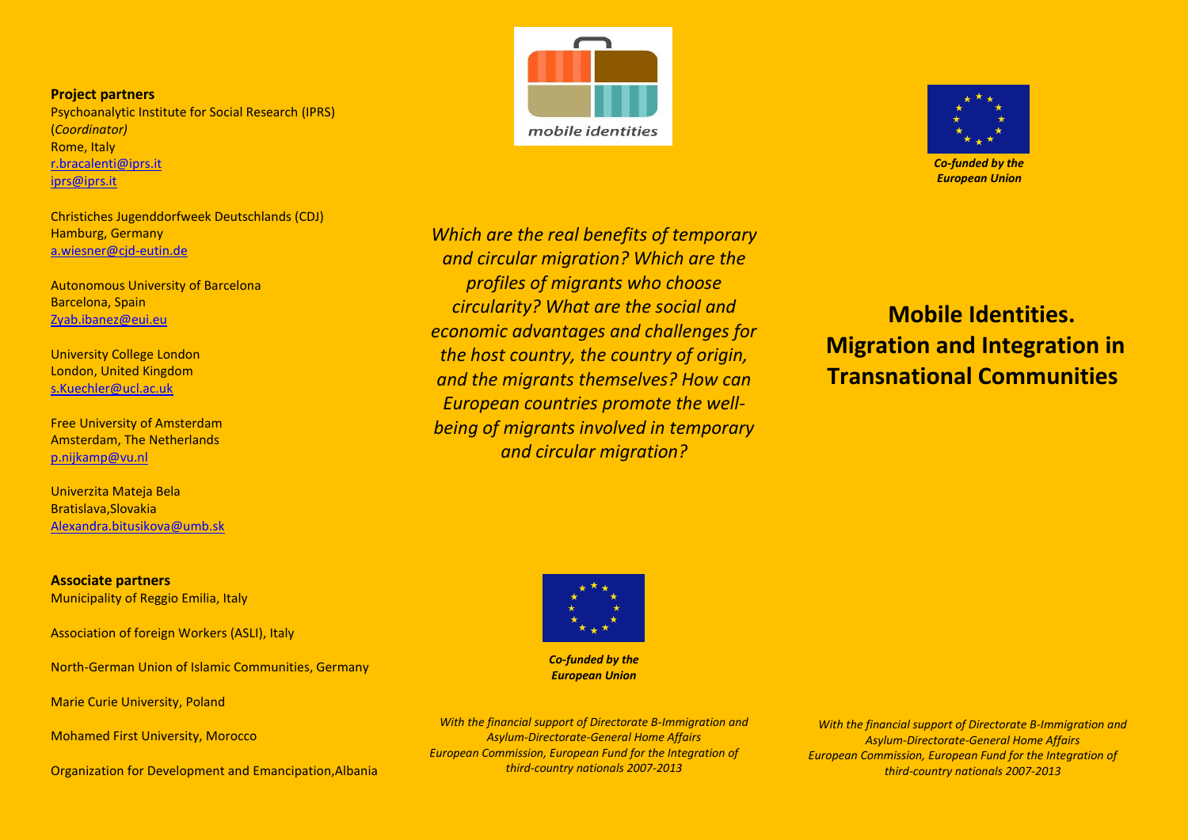**Project partners** Psychoanalytic Institute for Social Research (IPRS) (*Coordinator)* Rome, Italy [r.bracalenti@iprs.it](mailto:r.bracalenti@iprs.it) [iprs@iprs.it](mailto:iprs@iprs.it)

Christiches Jugenddorfweek Deutschlands (CDJ) Hamburg, Germany [a.wiesner@cjd-eutin.de](mailto:a.wiesner@cjd-eutin.de)

Autonomous University of Barcelona Barcelona, Spain Zyab.ibanez@eui.eu

University College London London, United Kingdom s.Kuechler@ucl.ac.uk

Free University of Amsterdam Amsterdam, The Netherlands p.nijkamp@vu.nl

Univerzita Mateja Bela Bratislava,Slovakia Alexandra.bitusikova@umb.sk

**Associate partners** Municipality of Reggio Emilia, Italy

Association of foreign Workers (ASLI), Italy

North-German Union of Islamic Communities, Germany

Marie Curie University, Poland

Mohamed First University, Morocco

Organization for Development and Emancipation,Albania





 *Co-funded by the European Union*

*Which are the real benefits of temporary and circular migration? Which are the profiles of migrants who choose circularity? What are the social and economic advantages and challenges for the host country, the country of origin, and the migrants themselves? How can European countries promote the wellbeing of migrants involved in temporary and circular migration?*

 **Mobile Identities. Migration and Integration in Transnational Communities** 



*Co-funded by the European Union*

*With the financial support of Directorate B-Immigration and Asylum-Directorate-General Home Affairs European Commission, European Fund for the Integration of third-country nationals 2007-2013*

*With the financial support of Directorate B-Immigration and Asylum-Directorate-General Home Affairs European Commission, European Fund for the Integration of third-country nationals 2007-2013*